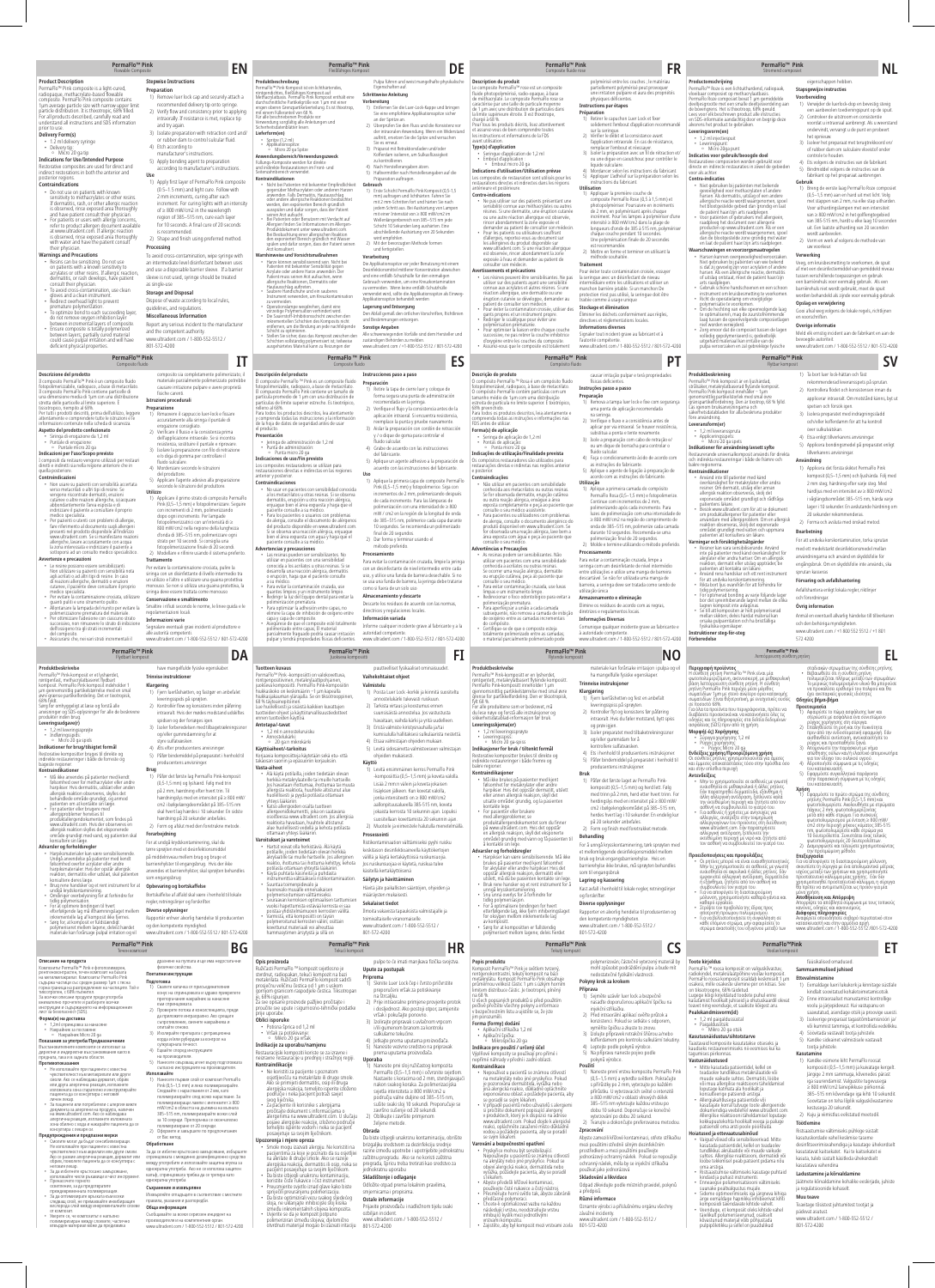| PermaFlo <sup>™</sup> Pink<br><b>EN</b><br>Flowable Composite                                                                                                                     |                                                                                                                                                        | PermaFlo <sup>™</sup> Pink<br><b>DE</b><br>Fleißfähiges Komposit                                                                                                                            |                                                                                                                                                                            | <b>PermaFlo™ Pink</b><br><b>FR</b><br>Composite fluide rose                                                                                                                                                  |                                                                                                                                                       | PermaFlo <sup>™</sup> Pink<br><b>NL</b><br>Stromend composiet                                                                                                                                                                   |                                                                                                                                                              |  |
|-----------------------------------------------------------------------------------------------------------------------------------------------------------------------------------|--------------------------------------------------------------------------------------------------------------------------------------------------------|---------------------------------------------------------------------------------------------------------------------------------------------------------------------------------------------|----------------------------------------------------------------------------------------------------------------------------------------------------------------------------|--------------------------------------------------------------------------------------------------------------------------------------------------------------------------------------------------------------|-------------------------------------------------------------------------------------------------------------------------------------------------------|---------------------------------------------------------------------------------------------------------------------------------------------------------------------------------------------------------------------------------|--------------------------------------------------------------------------------------------------------------------------------------------------------------|--|
| <b>Product Description</b><br>PermaFlo™ Pink composite is a light-cured,                                                                                                          | <b>Stepwise Instructions</b>                                                                                                                           | Produktbeschreibung<br>PermaFlo™ Pink Komposit ist ein lichthärtendes,                                                                                                                      | Pulpa führen und weist mangelhafte physikalische<br>Eigenschaften auf.                                                                                                     | Description du produit<br>Le composite PermaFlo™ rose est un composite                                                                                                                                       | polymérisé entre les couches ; le matériau<br>partiellement polymérisé peut provoquer                                                                 | Productomschrijving<br>PermaFlo™ Roze is een lichtuithardend, radiopaak,                                                                                                                                                        | eigenschappen hebben.                                                                                                                                        |  |
| radiopaque, methacrylate-based flowable<br>composite. PermaFlo Pink composite contains                                                                                            | Preparation<br>1) Remove luer lock cap and securely attach a<br>recommended delivery tip onto syringe.                                                 | röntgendichtes, fließfähiges Komposit auf<br>Methacrylatbasis. PermaFlo Pink Komposit enthält eine<br>durchschnittliche Partikelgröße von 1 um mit einer                                    | <b>Schrittweise Anleitung</b><br>Vorbereitung                                                                                                                              | fluide photopolymérisé, radio-opaque, à base<br>de méthacrylate. Le composite PermaFlo rose se<br>caractérise par une taille de particule moyenne                                                            | une irritation pulpaire et aura des propriétés<br>physiques déficientes.                                                                              | vloeibaar composiet op methacrylaatbasis.<br>PermaFlo Roze composiet bevat 1 µm gemiddelde<br>deeltjesgrootte met een smalle deeltjesverdeling aan                                                                              | Stapsgewijze instructies<br>Voorbereiding<br>1) Verwijder de luerlock-dop en bevestig stevig                                                                 |  |
| 1µm average particle size with narrow upper limit<br>particle distribution. It is thixotropic, 68% filled.<br>For all products described, carefully read and                      | 2) Verify flow and consistency prior to applying<br>intraorally. If resistance is met, replace tip                                                     | engen oberen Grenzpartikelverteilung. Es ist thixotrop,<br>mit einem Fülleranteil von 68 %<br>Für alle beschriebenen Produkte vor                                                           | 1) Entfernen Sie die Luer-Lock-Kappe und bringen<br>Sie eine empfohlene Applikationsspitze sicher<br>an der Spritze an.                                                    | de 1 µm avec une distribution de particules dans<br>la limite supérieure étroite. Il est thixotrope.<br>chargé à 68 %                                                                                        | Instructions par étapes<br>Préparation<br>1) Retirer le capuchon Luer Lock et fixer                                                                   | de bovengrens. Het is thixotroop, 68% gevuld.<br>Lees voor elk beschreven product alle instructies<br>en SDS-informatie aandachtig door en begrijp deze                                                                         | een aanbevolen toedieningspunt op de spuit.<br>2) Controleer de uitstroom en consistentie                                                                    |  |
| understand all instructions and SDS information<br>prior to use<br><b>Delivery Form(s)</b>                                                                                        | and try again.<br>3) Isolate preparation with retraction cord and/                                                                                     | Verwendung sorgfältig alle Anleitungen und<br>Sicherheitsdatenblätter lesen.<br>Lieferform(en)                                                                                              | 2) Überprüfen Sie den Fluss und die Konsistenz vor<br>der intraoralen Anwendung. Wenn ein Widerstand                                                                       | Pour tous les produits décrits, lisez attentivement<br>et assurez-vous de bien comprendre toutes<br>les instructions et informations de la FDS                                                               | solidement l'embout d'application recommandé<br>sur la seringue<br>2) Vérifier le débit et la consistance avant                                       | alvorens het product te gebruiken.<br>Leveringsvorm(en)                                                                                                                                                                         | voordat u intraoraal aanbrengt. Als u weerstand<br>ondervindt, vervangt u de punt en probeert                                                                |  |
| • 1.2 ml delivery syringe<br>• Delivery tip:                                                                                                                                      | or rubber dam to control sulcular fluid.<br>4) Etch according to                                                                                       | · Spritze (1.2 ml)<br>· Applikationsspitze<br>Micro 20 ga Spitze                                                                                                                            | auftritt, ersetzen Sie die Spitze und versuchen<br>Sie es erneut.<br>3) Präparat mit Retraktionsfaden und/oder                                                             | avant utilisation<br>Type(s) d'application                                                                                                                                                                   | l'application intraorale. En cas de résistance.<br>remplacer l'embout et réessaver                                                                    | • 1,2 ml injectiespuit<br>• Leveringspunt:<br>· Micro 20ga punt                                                                                                                                                                 | het opnieuw.<br>3) Isoleer het preparaat met terugtrekkoord en/<br>of rubber dam om sulculaire vloeistof onder                                               |  |
| · Micro 20 ga tip<br><b>Indications for Use/Intended Purpose</b><br>Restorative composites are used for direct and                                                                | manufacturer's instructions.<br>5) Apply bonding agent to preparation<br>according to manufacturer's instructions.                                     | Anwendungsbereich/Verwendungszweck<br>Füllunas-Komposite werden für direkte<br>und indirekte Restaurationen im Front- und                                                                   | Kofferdam isolieren, um Sulkusflüssigkeit<br>zu kontrollieren<br>4) Nach Herstellerangaben ätzen.                                                                          | Seringue d'application de 1,2 ml<br>Embout d'application :<br>· Embout micro 20 ga                                                                                                                           | 3) Isoler la préparation avec un fil de rétraction et/<br>ou une dique en caoutchouc pour contrôler le<br>iquide sulculaire                           | Indicaties voor gebruik/beoogde doel<br>Restauratieve composieten worden gebruikt voor<br>directe en indirecte restauraties in zowel de gebieden                                                                                | controle te houden.<br>4) Ets volgens de instructies van de fabrikant.<br>5) Bindmiddel volgens de instructies van de                                        |  |
| indirect restorations in both the anterior and<br>posterior regions.<br>Contraindications                                                                                         | Use<br>1) Apply first layer of PermaFlo Pink composite                                                                                                 | Seitenzahnbereich verwendet.<br>Kontraindikationen<br>· Nicht bei Patienten mit bekannter Empfindlichkeit                                                                                   | Haftvermittler nach Herstellerangaben auf die<br>Präparation auftragen.<br>Gebrauch                                                                                        | Indications d'utilisation/Utilisation prévue<br>Les composites de restauration sont utilisés pour les<br>restaurations directes et indirectes dans les régions                                               | 4) Mordancer selon les instructions du fabricant.<br>5) Appliquer L'adhésif sur la préparation selon les<br>instructions du fabricant.                | voor als achter.<br>Contra-indicaties<br>· Niet gebruiken bij patiënten met bekende                                                                                                                                             | fabrikant op het preparaat aanbrengen.<br>Gebruik                                                                                                            |  |
| • Do not use on patients with known<br>sensitivity to methacrylates or other resins.                                                                                              | (0.5-1.5 mm) and light cure. Follow with<br>2 mm increments, curing after each                                                                         | gegenüber Methacrylaten oder anderen Harzen<br>änwenden. Falls Dermatitis. Hautausschlag<br>oder andere allergische Reaktionen beobachtet                                                   | 1) Erste Schicht PermaFlo Pink Komposit (0,5-1,5<br>mm) auftragen und lichthärten. Fahren Sie                                                                              | antérieure et nostérieure<br>Contre-indications<br>• Ne pas utiliser sur des patients présentant une                                                                                                         | <b>Utilisation</b><br>1) Appliquer la première couche de<br>composite PermaFlo Rose (0,5 à 1,5 mm) et                                                 | gevoëligheid voor methacrylaten of andere<br>harsen. Als dermatitis, uitslag of een andere<br>allergische reactie wordt waargenomen, spoe                                                                                       | 1) Breng de eerste laag PermaFlo Roze composiet<br>(0.5-1.5 mm) aan en hard uit met licht Volg<br>met stappen van 2 mm, na elke stap uitharden.              |  |
| If dermatitis, rash, or other allergic reaction<br>is observed, rinse exposed area thoroughly<br>and have patient consult their physician.                                        | increment. For curing lights with an intensity<br>of $\geq$ 800 mW/cm2 in the wavelength<br>region of 385-515 nm, cure each layer                      | werden, den exponierten Bereich aründlich<br>ausspülen und dafür sorgen, dass der Patient<br>seinen Arzt aufsucht.                                                                          | mit 2 mm-Schritten fort und härten Sie nach<br>jedem Schritt aus. Bei Aushärtung von Lampen<br>mit einer Intensität von ≥ 800 mW/cm2 im                                    | sensibilité connue aux méthacrylates ou autres<br>résines. Si une dermatite, une éruption cutanée<br>ou une autre réaction allergique est observée.                                                          | photopolymériser Poursuivre en incréments<br>de 2 mm, en polymérisant après chaque<br>incrément. Pour les lampes à polymériser d'une                  | het blootgestelde gebied dan grondig en laat<br>de patiënt haar/zijn arts raadpleger<br>Voor patiënten of gebruikers met allergieën                                                                                             | Voor uithardingslampen met een intensiteit<br>van ≥ 800 mW/cm2 in het golflengtegebied                                                                       |  |
| For patients or users with allergy concerns<br>refer to product allergen document available<br>at www.ultradent.com. If allergic reaction                                         | for 10 seconds. A final cure of 20 seconds<br>is recommended                                                                                           | Bei Patienten oder Benutzern mit Verdacht auf<br>Allergien finden Sie Informationen im Allergen-<br>Produktdokument unter www.ultradent.com.<br>Bei Beobachtung einer allergischen Reaktion | Wellenlängenbereich von 385-515 nm jede<br>Schicht 10 Sekunden lang aushärten. Eine<br>abschließende Aushärtung von 20 Sekunden                                            | rincer abondamment la zone exposée et<br>demander au patient de consulter son médecin.<br>· Pour les patients ou utilisateurs souffrant                                                                      | intensité ≥ 800 mW/cm2 dans la plage de<br>lonqueurs d'onde de 385 à 515 nm, polymériser<br>chaque couche pendant 10 secondes.                        | raadpleeg het document over allergene<br>producten op www.ultradent.com. Als er een<br>allergische reactie wordt waargenomen, spoel                                                                                             | van 385-515 nm, hardt u elke laag 10 seconden<br>uit. Een laatste uitharding van 20 seconden<br>wordt aanbevolen.                                            |  |
| is observed, rinse exposed area thoroughly<br>with water and have the patient consult<br>their physician.                                                                         | 2) Shape and finish using preferred method.<br>Processing                                                                                              | den exponierten Bereich gründlich mit Wasser<br>spülen und dafür sorgen, dass der Patient seinen<br>Arzt konsultiert                                                                        | wird empfohlen.<br>2) Mit der bevorzugten Methode formen<br>und fertigstellen.                                                                                             | d'allergies, reportez-vous au document sur<br>les allergènes du produit disponible sur<br>www.ultradent.com. Si une réaction allergique                                                                      | Une polymérisation finale de 20 secondes<br>est recommandée.<br>2) Mettre en forme et terminer en utilisant la                                        | dan de blootgestelde zone grondig met water<br>en laat de patiënt haar/zijn arts raadplegen.<br>Waarschuwingen en voorzorgsmaatregelen                                                                                          | 2) Vorm en werk af volgens de methode van<br>uw voorkeur.                                                                                                    |  |
| <b>Warnings and Precautions</b><br>• Resins can be sensitizing. Do not use<br>on patients with a known sensitivity to                                                             | To avoid cross-contamination, wipe syringe with<br>an intermediate level disinfectant between uses                                                     | Warnhinweise und Vorsichtsmaßnahmen<br>· Harze können sensibilisierend sein. Nicht bei<br>Patienten mit bekannter Sensibilität gegen                                                        | Verarbeitung<br>Die Applikationsspitze vor jeder Benutzung mit einem                                                                                                       | est observée, rincer abondamment la zone<br>exposée à l'eau et demander au patient de<br>consulter son médecin                                                                                               | méthode souhaitée.<br><b>Traitement</b>                                                                                                               | · Harsen kunnen overgevoeligheid veroorzaken.<br>Niet gebruiken bij patiënten van wie bekend                                                                                                                                    | Verwerking<br>Veeg, om kruisbesmetting te voorkomen, de spuit<br>af met een desinfectiemiddel van gemiddeld niveau                                           |  |
| acrylates or other resins. If allergic reaction,<br>dermatitis, or rash develops, have patient<br>consult their physician.                                                        | and use a disposable barrier sleeve. If a barrier<br>sleeve is not used, syringe should be treated<br>as single-use                                    | Acrylate oder andere Harze anwenden. Der<br>Patient muss seinen Arzt aufsuchen, wenn<br>allergische Reaktionen. Dermatitis oder                                                             | Desinfektionsmittel mittlerer Konzentration abwischen<br>und eine entfällt-Schutzhülle für den einmaligen<br>Gebrauch verwenden, um eine Kreuzkontamination                | Avertissements et précautions<br>· Les résines peuvent être sensibilisantes. Ne pas<br>utiliser sur des patients ayant une sensibilité                                                                       | Pour éviter toute contamination croisée, essuyer<br>la seringue avec un désinfectant de niveau<br>intermédiaire entre les utilisations et utiliser un | is dat zij gevoelig zijn voor acrylaten of andere<br>harsen. Als een allergische reactie, dermatitis<br>of uitslag ontstaat, moet de patiënt haar/zijn<br>arts raadplegen.                                                      | tussen verschillende toepassingen en gebruik<br>een barrièrehuls voor eenmalig gebruik. Als een                                                              |  |
| To avoid cross-contamination, use clean<br>gloves and a clean instrument.<br>Redirect overhead light to prevent                                                                   | <b>Storage and Disposal</b><br>Dispose of waste according to local rules,                                                                              | Hautausschlag auftreten.<br>· Saubere Handschuhe und ein sauberes<br>Instrument verwenden, um Kreuzkontamination<br>zu vermeiden.                                                           | zu vermeiden Wenn keine entfällt-Schutzhülle<br>verwendet wird, sollte die Applikationsspitze als Einweg-<br>Applikationsspitze behandelt werden                           | connue aux acrylates et autres résines. Si une<br>réaction allergique, une dermatite ou une<br>éruption cutanée se développe, demander au                                                                    | manchon barrière jetable. Si un manchon De<br>protection n'est pas utilisé, la seringue doit être<br>traitée comme à usage unique                     | Gebruik schone handschoenen en een schoon<br>instrument om kruisbesmetting te voorkomen.<br>· Richt de operatielamp om vroegtijdige                                                                                             | barrièrehuls niet wordt gebruikt, moet de spuit<br>worden behandeld als zijnde voor eenmalig gebruik<br>Opslag en verwijdering                               |  |
| premature polymerization.<br>To optimize bond to each succeeding layer<br>do not remove oxygen inhibition layer                                                                   | guidelines, and regulations.<br><b>Miscellaneous Information</b>                                                                                       | Operationslampe wegdrehen, damit eine<br>vorzeitige Polymerisation verhindert wird.<br>Die Sauerstoff-Inhibitionsschicht zwischen den                                                       | Lagerung und Entsorgung<br>Den Abfall gemäß den örtlichen Vorschriften, Richtlinien<br>und Bestimmungen entsorgen.                                                         | patient de consulter son médecin.<br>Pour éviter la contamination croisée, utiliser des<br>gants propres et un instrument propre.<br>Rediriger le scialityque pour éviter une                                | Stockage et élimination<br>Éliminer les déchets conformément aux règles,                                                                              | polymerisatie te voorkomen.<br>· Om de hechting van elke opeenvolgende laag<br>te optimaliseren, mag de zuurstofremmende<br>laag tussen de opeenvolgende composietlager                                                         | Gooi afval weg volgens de lokale regels, richtlijnen<br>en voorschriften.                                                                                    |  |
| between incremental layers of composite.<br>Ensure composite is totally polymerized<br>hetween lavers: partially cured material                                                   | Report any serious incident to the manufacturer<br>and the competent authority.                                                                        | inkrementellen Schichten des Komposits nicht<br>entfernen, um die Bindung an jede nachfolgende<br>Schicht zu optimieren.                                                                    | <b>Sonstige Angaben</b><br>Alle schwerwiegenden Vorfälle sind dem Hersteller und                                                                                           | polymérisation prématurée<br>Pour optimiser la liaison entre chaque couche<br>successive, ne pas retirer la couche inhibitrice                                                                               | directives et réglementations locales.<br><b>Informations diverses</b><br>Signaler tout incident grave au fabricant et à                              | niet worden verwijderd.<br>· Zorg ervoor dat dé composiet tussen de lager<br>volledig gepolymeriseerd is; gedeeltelijk                                                                                                          | Overige informatie<br>Meld elk ernstig incident aan de fabrikant en aan de                                                                                   |  |
| could cause pulpal irritation and will have<br>deficient physical properties.                                                                                                     | www.ultradent.com / 1-800-552-5512 /<br>801-572-4200                                                                                                   | Stellen Sie sicher, dass das Komposit zwischen den<br>Schichten vollständig polymerisiert ist; teilweise<br>ausgehärtetes Material kann zu Reizungen der                                    | zuständigen Behörden zu melden.<br>www.ultradent.com / +1-800-552-5512 / 801-572-4200                                                                                      | d'oxygène entre les couches du composite.<br>Assurez-yous que le composite est totalement                                                                                                                    | l'autorité compétente<br>www.ultradent.com / 1-800-552-5512 / 801-572-4200                                                                            | uitgehärd materiaal kan irritatie van de<br>pulpa veroorzaken en zal gebrekkige fysische                                                                                                                                        | bevoegde autoriteit.<br>www.ultradent.com / 1-800-552-5512 / 801-572-4200                                                                                    |  |
| PermaFlo <sup>™</sup> Pink<br>Composito fluido                                                                                                                                    | IT                                                                                                                                                     | PermaFlo <sup>™</sup> Pink<br>Composite fluido                                                                                                                                              | ES                                                                                                                                                                         | PermaFlo <sup>™</sup> Pink<br>Compósito fluido                                                                                                                                                               | <b>PT</b>                                                                                                                                             | PermaFlo <sup>™</sup> Pink<br>Flytbar komposit                                                                                                                                                                                  | <b>SV</b>                                                                                                                                                    |  |
| Descrizione del prodotto<br>Il composito PermaFlo™ Pink è un composito fluido                                                                                                     | composito sia completamente polimerizzato; il<br>materiale parzialmente polimerizzato potrebbe                                                         | Descripción del producto<br>El composite PermaFlo ™ Pink es un composite fluido                                                                                                             | Instrucciones paso a paso<br>Preparación                                                                                                                                   | Descrição do produto<br>O compósito PermaFlo ™ Rosa é um compósito fluido                                                                                                                                    | causar irritação pulpar e terá propriedades<br>físicas deficientes.                                                                                   | Produktbeskrivning<br>PermaFlo™ Pink komposit är en liushärdad                                                                                                                                                                  | 1) Ta bort luer lock-hättan och fäst<br>rekommenderad leveransspets på sprutan.                                                                              |  |
| fotopolimerizzabile, radiopaco, a base di metacrilato.<br>Il composito PermaFlo Pink contiene particelle di<br>una dimensione media di 1um con una distribuzione                  | causare irritazione pulpare e avere proprietà<br>fisiche carenti<br>Istruzioni procedurali                                                             | fotopolimerizable, radiopaco, a base de metacrilato.<br>El compuesto PermaFlo Pink contiene un tamaño de<br>partícula promedio de 1 um con una distribución de                              | Retire la tapa de cierre luer y coloque de<br>forma segura una punta de administración                                                                                     | fotopolimerizável, radiopaco, à base de metacrilato.<br>O compósito PermaElo contém partículas com um<br>tamanho médio de 1um com uma distribuição                                                           | Instruções passo a passo<br>Preparação                                                                                                                | strålsäker, metakrylatbaserad flytande komposit<br>PermaFlo Pink komposit innehåller ~ 1um<br>genomsnittlig partikelstorlek med smal övre                                                                                       | 2) Kontrollera flödet och konsistensen innan du<br>applicerar intraoralt. Om motstånd känns, byt ut                                                          |  |
| stretta delle particelle al limite superiore. È<br>tissotropico, riempito al 68%.<br>Per tutti i prodotti descritti, prima dell'utilizzo, leggere                                 | Preparazione<br>1) Rimuovere il cappuccio luer-lock e fissare                                                                                          | partículas de límite superior estrecho. Es tixotrópico,<br>relleno al 68%.<br>Para todos los productos descritos, lea atentamente                                                           | recomendada en la jeringa.<br>2) Verifique el flujo y la consistencia antes de la<br>aplicación intraoral. Si encuentra resistencia,                                       | estreita de partícula no limite superior. É tixotrópico<br>58% preenchido.<br>Para todos os produtos descritos, leia atentamente e                                                                           | 1) Remova a tampa luer lock e fixe com segurança<br>uma ponta de aplicação recomendada<br>na seringa                                                  | gränspartikelfördelning. Den är tixotrop, 68 % fylld.<br>Ľäs igenom bruksanvisningarna och<br>säkerhetsdatabladen för alla beskrivna produkter<br>före användning.                                                              | spetsen och försök igen.<br>3) Isolera preparatet med indragningssladd                                                                                       |  |
| attentamente e comprendere tutte le istruzioni e le<br>informazioni contenute nella scheda di sicurezza.<br>Aspetto del prodotto confezionato                                     | accuratamente alla siringa il puntale di<br>erogazione consigliato<br>2) Verificare il flusso e la consistenza prima                                   | y comprenda todas las instrucciones y la información<br>de la hoja de datos de seguridad antes de usar<br>el producto.                                                                      | reemplace la punta y pruebe nuevamente.<br>3) Aislar la preparación con cordón de retracción                                                                               | compreenda todas as instruções e informações nas<br>FDS antes de utilizar<br>Forma(s) de aplicação                                                                                                           | 2) Verifique o fluxo e a consistência antes de<br>aplicar por via intraoral. Se houver resistência.<br>substitua a ponta e tente novamente.           | Leveransform(er)<br>• 1.2 ml leveransspruta                                                                                                                                                                                     | och/eller kofferdamm för att ha kontroll<br>över sulkulvätskan                                                                                               |  |
| · Siringa di erogazione da 1,2 ml<br>· Puntale di erogazione<br>· Puntale micro 20 ga                                                                                             | dell'applicazione intraorale. Se si incontra<br>resistenza, sostituire il puntale e riprovare<br>3) Isolare la preparazione con filo di retrazione     | Presentación<br>· leringa de administración de 1.2 ml<br>· Punta de administración:                                                                                                         | / / o dique de goma para controlar el<br>fluido sulcular.<br>4) Grabe de acuerdo con las instrucciones                                                                     | · Seringa de aplicação de 1,2 ml<br>· Pontas de aplicação<br>· Ponta micro 20 ga                                                                                                                             | 3) Isole a preparação com cabo de retração e/<br>ou um dique de borracha para controlar o                                                             | • Appliceringsspets:<br>· Micro 20 ga spets<br>Indikationer för användning/avsett syfte                                                                                                                                         | 4) Etsa enligt tillverkarens anvisningar.<br>5) Applicera bondingsmedel på preparatet enligt                                                                 |  |
| Indicazioni per l'uso/Scopo previsto<br>I compositi da restauro vengono utilizzati per restauri<br>diretti e indiretti sia nella regione anteriore che in                         | e/o diga di gomma per controllare il<br>fluido sulculare                                                                                               | · Punta micro 20 ga<br>Indicaciones de uso/Fin previsto<br>Los composites restauradores se utilizan nara                                                                                    | del fabricante.<br>5) Aplique un agente adhesivo a la preparación de                                                                                                       | Indicações de utilização/Finalidade prevista<br>Os compósitos restauradores são utilizados para<br>restaurações diretas e indiretas nas regiões anterior                                                     | fluido sulcular.<br>4) Faca o condicionamento ácido de acordo com<br>as instruções do fabricante.                                                     | Restaurerande universalkomposit används för direkta<br>och indirekta restaureringar i både de främre och<br>bakre regionerna.                                                                                                   | tillverkarens anvisningar.<br>Användning                                                                                                                     |  |
| quella posteriore.<br>Controindicazioni<br>· Non usare su pazienti con sensibilità accertata                                                                                      | 4) Mordenzare secondo le istruzioni<br>del produttore<br>5) Applicare l'agente adesivo alla preparazione                                               | restauraciones directas e indirectas en las regiones<br>anterior y posterior.<br>Contraindicaciones                                                                                         | acuerdo con las instrucciones del fabricante.<br>Uso<br>1) Aplique la primera capa de composite PermaFlo                                                                   | e posterior.<br>Contraindicações<br>· Não utilizar em pacientes com sensibilidade                                                                                                                            | 5) Aplique o agente de ligação à preparação de<br>acordo com as instruções do fabricante.<br>Utilização                                               | Kontraindikationer<br>· Använd inte till patienter med känd<br>överkänslighet för metakrylater eller andra                                                                                                                      | 1) Applicera det första skiktet PermaFlo Pink<br>komposit (0,5-1,5 mm) och ljushärda. Följ med<br>2 mm steg; härdning efter varje steg. Med                  |  |
| verso metacrilati o altri tipi di resine. Se<br>vengono riscontrate dermatiti, eruzioni<br>cutanee o altre reazioni allergiche, sciacquare                                        | secondo le istruzioni del produttore.<br>Utilizzo<br>1) Applicare il primo strato di composito PermaFlo                                                | · No usar en pacientes con sensibilidad conocida<br>a los metacrilatos u otras resinas. Si se observa<br>dermatitis, erupción u otra reacción alérgica,                                     | Pink (0,5-1,5 mm) y fotopolimerice. Siga con<br>incrementos de 2 mm, polimerizando después<br>de cada incremento. Para las lámparas de                                     | conhecida aos metacrilatos ou outras resinas.<br>Se for observada dermatite, erupção cutânea<br>ou outra reação alérgica, enxágué a área                                                                     | 1) Aplique a primeira camada do compósito<br>PermaFlo Rosa (0,5-1,5 mm) e fotopolimerize.                                                             | resiner. Om dermatit, utslag eller annan<br>allergisk reaktion observeras, sköli det<br>exponerade området grundligt och rådfråga                                                                                               | härdljus med en intensitet av ≥ 800 mW/cm2<br>i våglängdsområdet 385-515 nm, härda varje                                                                     |  |
| abbondantemente l'area esposta e di<br>indirizzare il paziente a consultare il proprio<br>medico specialista.                                                                     | Pink (0.5-1.5 mm) e fotopolimerizzare. Sequire<br>con incrementi di 2 mm, polimerizzando<br>dopo ogni incremento. Per lampade                          | enjuaque bien el área expuesta y haga que el<br>paciente consulte a su médico.<br>· Para los pacientes o usuarios con problemas                                                             | polimerización con una intensidad de ≥ 800<br>mW / cm2 en la región de la longitud de onda                                                                                 | exposta completamente e peça ao paciente que<br>consulte o seu médico assístente<br>· Para pacientes ou utilizadores com problemas                                                                           | Continue com incrementos de 2 mm,<br>polimerizando após cada incremento. Para<br>luzes de polimerização com uma intensidade de                        | patientens läkare.<br>Besök www.ultradent.com för att se dokument<br>om produktallergener för patienter eller                                                                                                                   | lager i 10 sekunder. En avslutande härdning om<br>20 sekunder rekommenderas.                                                                                 |  |
| Per pazienti o utenti con problemi di allergie<br>fare riferimento al documento sugli allergeni<br>presenti nel prodotto disponibile all'indirizzo                                | fotopolimerizzatrici con un'intensità di ≥<br>800 mW/cm2 nella regione della lunghezza                                                                 | de alergia, consulte el documento de alérgenos<br>del producto disponible en www.ultradent.com.<br>Si se observa una reacción alérgica, enjuague                                            | de 385-515 nm, polimerice cada capa durante<br>10 segundos. Se recomienda un polimerizado<br>final de 20 segundos.                                                         | de alergia, consulte o documento alergénico do<br>produto disponível em www.ultradent.com. Se<br>for observada uma reação aléroica. Jave bem a                                                               | ≥ 800 mW/cm2 na região do comprimento de<br>onda de 385-515 nm, polimerize cada camada<br>durante 10 segundos. Recomenda-se uma                       | användare med allergiproblem. Om en allergisk<br>reaktion observeras, skölj det exponerade<br>området grundligt med vatten och uppmana                                                                                          | Forma och avsluta med önskad metod<br>Bearbetning                                                                                                            |  |
| www.ultradent.com. Se si manifestano reazioni<br>allergiche, lavare accuratamente con acqua<br>la zona interessata e indirizzare il paziente a                                    | d'onda di 385-515 nm, polimerizzare ogni<br>strato per 10 secondi. Si consiglia una<br>fotopolimerizzazione finale di 20 secondi                       | bien el área expuesta con agua y haga que el<br>paciente consulte a su médico<br>Advertencias y precauciones                                                                                | 2) Dar forma y terminar usando el<br>método preferido.                                                                                                                     | área exposta com água e peça ao paciente que<br>consulte o seu médico.<br>Advertências e Precauções                                                                                                          | polimerização final de 20 segundos.<br>2) Molde e termine utilizando o método preferido.                                                              | patienten att konsultera sin läkare.<br>Varningar och försiktighetsåtgärder<br>Resiner kan vara sensibiliserande. Använd                                                                                                        | För att undvika korskontamination, torka sprutan<br>med ett medelstarkt desinfektionsmedel mellan                                                            |  |
| sottoporsi ad un consulto medico specialistico.<br>Avvertenze e precauzioni<br>· Le resine possono essere sensibilizzanti.                                                        | 2) Modellare e rifinire usando il sistema preferito.<br>Trattamento<br>Per evitare la contaminazione crociata, pulire la                               | · Las resinas pueden ser sensibilizantes. No<br>utilizar en pacientes con una sensibilidad<br>conocida a los acrilatos u otras resinas. Si se                                               | Procesamiento<br>Para evitar la contaminación cruzada, limpie la jeringa<br>con un desinfectante de nivel intermedio entre cada                                            | As resinas podem ser sensibilizantes. Não<br>utilizar em pacientes com uma sensibilidade<br>conhecida a acrilatos ou outras resinas.                                                                         | Processamento<br>Para evitar a contaminação cruzada, limpe a<br>seringa com um desinfetante de nível intermédio                                       | inte på patienter med känd överkänslighet för<br>akrylater eller andra hartser. Om en allergisk<br>reaktion, dermatit eller utslag uppträder, be                                                                                | användningarna och använd en skyddsfolie för<br>engångsbruk. Om en skyddsfolie inte används, ska                                                             |  |
| Non utilizzare su pazienti con sensibilità nota<br>agli acrilati o ad altri tipi di resine. In caso<br>di reazioni allergiche, dermatiti o eruzioni                               | siringa con un disinfettante di livello intermedio tra<br>un utilizzo e l'altro e utilizzare una quaina protettiva                                     | desarrolla una reacción alérgica, dermatitis<br>o erupción, haga que el paciente consulte<br>a su médico.                                                                                   | uso, y utilice una funda de barrera desechable. Si no<br>se usa una funda de barrera, la jeringa debe tratarse                                                             | Se ocorrer uma reação alérgica, dermatite<br>ou erupção cutânea, peça ao paciente que<br>consulte o seu médico                                                                                               | entre utilizações e utilize uma manga de barreira<br>descartável. Se não for utilizada uma manga de                                                   | natienten att kontakta sin läkare<br>Änvänd rena handskar och ett rent instrument<br>för att undvika korskontaminerin                                                                                                           | sprutan kasseras<br>Förvaring och avfallshantering                                                                                                           |  |
| cutanee, il paziente deve consultare il proprio<br>medico specialista.<br>· Per evitare la contaminazione crociata, utilizzare                                                    | monouso. Se non si utilizza una quaina protettiva, la<br>siringa deve essere trattata come monouso<br>Conservazione e smaltimento                      | · Para evitar la contaminación cruzada, use<br>quantes limpios y un instrumento limpio.<br>· Redirigir la luz del Equipo dental para evitar la                                              | como si fuera de un solo uso<br>Almacenamiento y descarte                                                                                                                  | Para evitar contaminação cruzada, use luvas<br>limpas e um instrumento limpo.<br>· Redirecionar o foco odontológico para evitar a                                                                            | barreira, a seringa deve ser tratada como sendo de<br>utilização única<br>Armazenamento e eliminação                                                  | · Rikta bort ljus ovanifrån för att förhindra för<br>tidig polymerisering<br>· För optimerad bonding av varje följande lage<br>bör det syreinhiberande lagret mellan de olika                                                   | Avfallshantera enligt lokala regler, riktlinjer<br>och förordningar.                                                                                         |  |
| Allontanare la lampada del riunito per evitare la<br>polimerizzazione prematura del materiale.                                                                                    | Smaltire i rifiuti secondo le norme, le linee quida e le<br>regolamentazioni locali.                                                                   | · Para optimizar la adhesión entre capas, no<br>elimine la capa de inhibición de oxígeno entre                                                                                              | Descarte los residuos de acuerdo con las normas<br>directrices y regulaciones locales.                                                                                     | · Para aperfeiçoar a união a cada camada<br>subsequente, não remova a camada de inibicão                                                                                                                     | Elimine os resíduos de acordo com as regras<br>diretrizes e regulamentos locais.                                                                      | lagren komposit inte avlägsnas.<br>Se till att kompositen är helt polymeriserad<br>mellan skikten: delvis härdat material kan                                                                                                   | Övrig information<br>Anmäl en eventuell allvarlig händelse till tillverkaren                                                                                 |  |
| Per ottimizzare l'adesione con ciascuno strato<br>successivo, non rimuovere lo strato di inibizione<br>dell'ossigeno tra gli strati incrementali<br>del composito.                | Informazioni varie<br>Segnalare eventuali gravi incidenti al produttore e<br>alle autorità competenti                                                  | capa y capa de composite.<br>· Asequrese de que el composite esté totalmente<br>polimerizado entre capas; El material<br>parcialmente fraguado podría causar irritación                     | Información variada<br>Informe cualquier incidente grave al fabricante y a la<br>autoridad competente                                                                      | de oxigénio entre as camadas incrementais<br>do compósito<br>Certifique-se de que o composto esteja                                                                                                          | Informações Diversas<br>Comunique qualquer incidente grave ao fabricante e<br>à autoridade competente                                                 | orsaka pulpairritation och ha bristfälliga<br>fysikaliska egenskaper.<br>Instruktioner steg-för-steg                                                                                                                            | och den behöriga myndigheten.<br>www.ultradent.com / +1 800 552 5512 / +1 801                                                                                |  |
|                                                                                                                                                                                   | www.ultradent.com / 1-800-552-5512 / 801-572-4200                                                                                                      |                                                                                                                                                                                             |                                                                                                                                                                            | totalmente polimerizado entre as camadas;                                                                                                                                                                    | www.ultradent.com / 1-800-552-5512 / 801-572-4200                                                                                                     | Förberedelse                                                                                                                                                                                                                    | 572 4200                                                                                                                                                     |  |
| Assicurarsi che, nei vari strati incrementali il                                                                                                                                  |                                                                                                                                                        | pulpar y tendrá propiedades físicas deficientes.                                                                                                                                            | www.ultradent.com / 1-800-552-5512 / 801-572-4200                                                                                                                          | o material parcialmente polimerizado pode                                                                                                                                                                    |                                                                                                                                                       |                                                                                                                                                                                                                                 |                                                                                                                                                              |  |
| PermaFlo <sup>™</sup> Pink<br>Flydbart komposit                                                                                                                                   | DA                                                                                                                                                     | PermaFlo <sup>™</sup> Pink<br>luokseva komposiitti                                                                                                                                          | FI                                                                                                                                                                         | PermaFlo <sup>™</sup> Pink<br>Flytende kompositt                                                                                                                                                             | N0                                                                                                                                                    | PermaFlo™ Pink<br>Λεπτόρρευστη σύνθετη ρητίνη                                                                                                                                                                                   | EL                                                                                                                                                           |  |
| Produktbeskrivelse<br>PermaFlo™ Pink-komposit er et lyshærdet,<br>røntgenfast, methacrylatbaseret flydbart                                                                        | have mangelfulde fysiske egenskaber.<br><b>Trinvise instruktioner</b>                                                                                  | <b>Tuotteen kuvaus</b><br>PermaFlo™ Pink -komposiitti on valokovettuva,<br>röntgenpositiivinen, metakrylaattipohjainen,                                                                     | puutteelliset fysikaaliset ominaisuudet.<br>Vaihekohtaiset ohjeet                                                                                                          | Produktbeskrivelse<br>PermaFlo™ Pink-kompositt er en lysherdet.<br>røntgentett, metakrylatbasert flyténde kompositt                                                                                          | materiale kan forårsake irritasjon i pulpa og vil<br>ha mangelfulle fysiske egenskaper.                                                               | Περιγραφή προϊόντος<br>περιγραφή προτοντος<br>Η σύνθετη ρητίνη PermaFlo ™ Pink είναι μία<br>φωτοπολυμεριζόμενη, ακτινοσκιερή, με μεθακρυλική                                                                                    | σταδιακών στρωμάτων της σύνθετης ρητίνης.<br>Bεβαιωθείτε ότι η σύνθετη onτίνη<br>πολυμερίζεται πλήρως μετάξυ των στρωμάτων                                   |  |
| komposit. PermaFlo Pink komposit indeholder 1<br>um gennemsnitlig partikelstørrelse med en sma<br>øvre grænse partikelfordeling. Det er tixotropisk,                              | Klargøring<br>1) Fjern luerlåshætten, og fastgør en anbefalet<br>leveringsspids på sprøjten.                                                           | juokseva komposiitti. PermaFlo Pink-komposiitin<br>hiukkaskoko on keskimäärin ~1 µm kapealla<br>hiukkasjakauman ylärajalla. Se on tiksotrooppinen                                           | Valmistelu<br>1) Poista Luer Lock -korkki ja kiinnitä suositeltu<br>annostelukärki tukevasti ruiskuun.                                                                     | PermaFlo Pink-kompositt inneholder 1 µm<br>gjennomsnittlig partikkelstørrelse med smal øvre<br>ense for partikkelfordeling. Den er tiksotropisk,                                                             | Trinnvise instruksjoner<br>Klargiøring<br>1) Fjern luerlåshetten og fest en anbefalt                                                                  | βάση λεπτόρρευστη σύνθετη ρητίνη. Η σύνθετη<br>ρητίνη PermaFlo Pink περιέχει μέσο μέγεθος                                                                                                                                       | Το μερικώς πολυμέρισμένο υλικό θα μπορούσε<br>να προκαλέσει ερεθισμό του πολφού και θα<br>έχει ανεπαρκείς φυσικές ιδιότητες                                  |  |
| 68% fyldt.<br>Sørg for omhyggeligt at læse og forstå alle<br>anvisninger og SDS-oplysninger for alle de beskrevne                                                                 | 2) Kontrollér flow og konsistens inden påføring<br>intraoralt. Hvis der mødes modstand udskiftes                                                       | 68 % täyteainepitoinen<br>Lue huolellisesti ja sisäistä kaikkien kuvattujen<br>tuotteiden ohieet ja käyttöturvallisuustiedotteet                                                            | 2) Tarkista virtaus ja koostumus ennen<br>suunsisäistä annostelua. Jos vastustusta                                                                                         | fylt 68 %.<br>For alle produktene som er beskrevet, må                                                                                                                                                       | leveringsspiss på sprøyten<br>2) Kontroller flyt og konsistens før påføring                                                                           | σώματιδίων 1μm με στενό ανώτερο όριο κατανομής<br>σωματιδίων. Είναι θιξοτροπική, με ενισχυτικές ουσίες<br>σε ποσοστό 68%.<br>Για όλα τα προϊόντα που περιγράφονται, πρέπει να<br>αβάσετε προσεκτικά και να κατανοήσετε όλες τις | Οδηγίες βήμα-βήμα<br>Προετοιμασία<br>Αφαιρέστε το πώμα ασφάλισης luer και<br>στερεώστε με ασφάλεια ένα σύνιστώμενο                                           |  |
| produkter inden brug.<br>Leveringsudgave(r)<br>· 1,2 ml leveringssprøjte                                                                                                          | spidsen og der forsøges igen.<br>3) Isoler forberedelsen med tilbagetrækningssnor                                                                      | ennen tuotteiden käyttöä.<br>Antotapa/-tavat<br>· 1,2 ml:n annosteluruisku                                                                                                                  | havaitaan, vaihda kärki ja yritä uudelleen.<br>3) Eristä valmiste kiristysnauhalla ja/tai                                                                                  | du lese nøye og forstå alle instruksjoner og<br>sikkerhetsdatablad-informasjon før bruk.<br>Leveringsskjema(er)<br>· 1,2 ml leveringssprøyte                                                                 | intraoralt. Hvis du føler motstand, bytt spiss<br>og prøv igjen<br>3) Isoler preparatet med tilbaketrekningssnor                                      | οδηγίες και τις πληροφορίες στα δελτία δεδομένων<br>ασφάλειας (SDS) πριν από τη χρήση.<br>Μορφή(-ές) Χορήγησης                                                                                                                  | ρύγχος χορήγησης στη σύριγγα.<br>2) Επαληθεύστε τη ροή και την πυκνότητα<br>πριν από την ενδοστοματική εφαρμογή. Εάν                                         |  |
| · Indføringsspids:<br>· Micro 20 ga spids<br>Indikationer for brug/tilsigtet formål                                                                                               | og/eller gummidæmning for at<br>styre sulfatvæsken.<br>4) Æts efter producentens anvisninger.                                                          | · Annostelukärki:<br>o 20 ga:n mikrokärki<br>Käyttöaiheet/-tarkoitus                                                                                                                        | kumisululla hallitaksesi sulkulaarista nestettä<br>4) Etsaa valmistajan ohjeiden mukaan.<br>5) Levitä sidosainetta valmisteeseen valmistajan                               | • Leveringsspiss<br>· Micro 20 ga-spiss<br>Indikasioner for bruk / tiltenkt formål                                                                                                                           | og/eller qummidam for å<br>kontrollere sulfatvæsken.                                                                                                  | • Σύριγγα χορήγησης 1,2 ml<br>- Ρύγχος χορήγησης:<br>- Ρύγχος Μίσο 20 ga                                                                                                                                                        | αισθανθείτε αντίσταση, αντικαταστήστε το<br>ρύγχος και προσπαθήστε ξανά.<br>Απομονώστε την παρασκευή με νήμα                                                 |  |
| Restorative kompositter bruges til direkte og<br>indirekte restaureringer i både de forreste og<br>bageste regioner                                                               | 5) Påfør bindemiddel på præparatet i henhold til<br>producentens anvisninger.                                                                          | Korjaavia komposiitteja käytetään sekä etu- että<br>takáosan suoriin ja epäsuoriin korjauksiin.                                                                                             | ohieiden mukaisesti.<br>Käyttö                                                                                                                                             | Restorative kompositter brukes til direkte og<br>indirekte restaureringer i både fremre og<br>bakre regioner.                                                                                                | 4) Ets i henhold til produsentens instruksjoner.<br>5) Påfør bindemiddel på preparatet i henhold til<br>produsentens instruksioner.                   | Ενδείξεις χρήσης/Προορίζόμενη χρήση<br>Οι σύνθετες ρητίνες χρησιμοποιούνται για άμεσες<br>και έμμεσες αποκαταστάσεις τόσο στην πρόσθια όσο                                                                                      | απώθησης ούλων και/ή ελαστικό απομονωτήρα<br>για τον έλεγχο του ουλικού υγρού.<br>Αδροποιήστε σύμφωνα με τις οδηγίες                                         |  |
| Kontraindikationer<br>· Må ikke anvendes på patienter med kendt<br>følsomhed over for methacrylater eller andre                                                                   | <b>Brug</b><br>1) Påfør det første lag PermaFlo Pink-komposit                                                                                          | Vasta-aiheet<br>· Älä käytä potilailla, joiden tiedetään olevan<br>herkkiä metakrylaateille tai muille hartseille.                                                                          | 1) Levitä ensimmäinen kerros PermaFlo Pink<br>-komposiittia (0,5-1,5 mm) ja koveta valolla.<br>Lisää 2 mm:n välein ja koveta jokaisen                                      | Kontraindikasjoner<br>· Må ikke brukes på pasienter med kjent                                                                                                                                                | Bruk<br>1) Påfør det første laget av PermaFlo Pink-                                                                                                   | και στην οπίσθια περιοχή<br>Αντενδείξεις<br>• Μην το χρησιμοποιείτε σε ασθενείς με γνωστή                                                                                                                                       | του κατασκευαστή.<br>5) Εφαρμόστε συγκολλητικό παράγοντα<br>πτην παρασκεύή σύμφωνα με τις οδηγίες<br>του κατασκευαστή.                                       |  |
| harpikser. Hvis dermatitis, udslæt eller anden<br>allergisk reaktion observeres, skylles det<br>behandlede område grundigt, og anmod                                              | (0,5-1,5 mm) og lyshærd. Følg med trin<br>på 2 mm, hærdning efter hvert trin. Til<br>hærdningslys med en intensitet på ≥ 800 mW/                       | Jos havaitaan ihottumaa, ihottumaa tai muuta<br>allergista reaktiota, huuhtele altistunut alue<br>huolellisesti ja pyydä potilasta ottamaan                                                 | lisäyksen jälkeen. Kun kovetat valolla,<br>jonka intensiteetti on ≥ 800 mW/cm2                                                                                             | følsomhet for metakrylater eller andre<br>harpikser. Hvis det oppstår dermatitt, utslett<br>eller annen allergisk reaksjon, skyll det                                                                        | kompositt (0,5-1,5 mm) og herd lett. Følg<br>med trinn på 2 mm, herd etter hvert trinn. For                                                           | ευαισθησία σε μεθακρυλικά ή άλλες ρητίνες.<br>Εάν παρατηρηθεί δερματίτιδα, εξάνθημα ή<br>άλλη αλλεργική αντίδραση, ξεπλύνετε καλό                                                                                               | 1) Εφαρμόστε το πρώτο στρώμα της σύνθετης<br>ρητίνης PermaFlo Pink (0,5-1,5 mm) και                                                                          |  |
| patienten om at kontakte sin læge.<br>For patienter eller brugere med<br>allergiproblemer henvises til                                                                            | cm2 i bølgelængdeområdet på 385-515 nm<br>skal hvert lag hærdes i 10 sekunder. En sidste                                                               | yhteys lääkäriin<br>Katso allergioiden osalta tuotteen<br>allergeenidokumentti, joka on saatavana<br>osoitteessa www.ultradent.com. los allergisia                                          | aallonpituusalueella 385-515 nm, koveta<br>jokaista kerrosta 10 sekunnin ajan. Lopuksi                                                                                     | utsatte området grundig, og la pasienten<br>kontakte lege<br>· For pasienter eller brukere                                                                                                                   | herdingslys med en intensitet på ≥ 800 mW/<br>cm2 i bølgelengdeområdet på 385-515 nm,<br>herdes hvert lag i 10 sekunder. En endelig kur               | την εκτεθειμένη περιοχή και ζητήστε από τον<br>ασθενή να συμβουλευτεί το νιατρό του.<br>Για ασθενείς ή χρήστες με ανησυχίες για                                                                                                 | ιτοπολυμερίστε. Ακολουθήστε με στρώματα<br>πάχους 2 mm, φωτοπολυμερίζονται<br>μετά από κάθε στρώμα. Για συσκευέ                                              |  |
| produktallergendokumentet, som findes på<br>www.ultradent.com. Hvis der observeres en<br>allergisk reaktion skylles det eksponerede                                               | hærdning på 20 sekunder anbefales.<br>2) Form og afslut med den foretrukne metode.                                                                     | reaktioita havaitaan, huuhtele altistunut<br>alue huolellisesti vedellä ja kehota potilasta<br>ottamaan yhteys lääkäriin.                                                                   | suositellaan kovettamista 20 sekunnin ajan.<br>2) Muotoile ja viimeistele halutulla menetelmällä.<br>Prosessointi                                                          | med allergiproblemer, se<br>produktallergendokumentet som du finner<br>på www.ultradent.com. Hvis det oppstår<br>en allergisk reaksion, skyll det eksponerte                                                 | på 20 sekunder anbefales.<br>2) Form og finish med foretrukket metode.                                                                                | αλλεργίες, ανατρέξτε στην τεκμηριωση<br>αλλερνιονόνων του προϊόντος στη διεύθυνση<br>www.ultradent.com. Εάν παρατηρήσετε<br>αλλεονική αντίδραση. ξεπλύνετε την                                                                  | φωτοπολυμερισμού με ένταση ≥ 800 mW/<br>cm2 στην περιοχή μήκους κύματος 385-515<br>nm, φωτοπολυμερίστε κάθε στρώμα για                                       |  |
| område grundigt med vand, og patienten skal<br>konsultere sin læge.<br>Advarsler og forholdsregler                                                                                | Forarbejdning<br>For at undgå krydskontaminering, skal du<br>tørre sprøjten med et desinfektionsmiddel                                                 | Varoitukset ja varotoimet<br>· Hartsit voivat olla herkistäviä. Älä kävtä                                                                                                                   | Ristikontaminaation välttämiseksi pyyhi ruisku<br>keskitason desinfektioaineella käyttökertojen                                                                            | området grundig med vann og få pasienten til<br>å kontakte sin lege.<br>Advarsler og forholdsregler                                                                                                          | Behandling<br>For å unngå krysskontaminering, tørk sprøyten med                                                                                       | εκτεθειμένη περιοχή με νερό και ζητήστε από<br>τον ασθενή να συμβουλευτεί τον γιατρό του.                                                                                                                                       | 10 δευτερόλεπτα. Συνιστάται ένας τελικός<br>φωτοπολυμερισμός 20 δευτερολέπτων.<br>2) Διαμορφώστε και τελειώστε χρησιμοποιώντας                               |  |
| · Harpiksmaterialer kan være sensibiliserende<br>Undgå anvendelse på patienter med kendt<br>følsomhed overfor acrylater eller andre                                               | på middelniveau mellem brug og bruge et<br>barrierehylster til engangsbrug. Hvis der ikke                                                              | potilaille, joiden tiedetään olevan herkkiä<br>akrylaatille tai muille hartseille. Jos allerginen<br>reaktio, ihottuma tai ihottuma kehittyy, kehota                                        | välillä ja käytä kertakäyttöisiä ruiskunsuojia<br>Jos ruiskunsuojaa ei käytetä, ruiskua tulee                                                                              | · Harpikser kan være sensibiliserende. Må ikke<br>brukes på pasienter med kjent følsomhet                                                                                                                    | et mellomliggende desinfeksjonsmiddel mellom<br>bruk og bruk engangsbarrierehylse. Hvis en<br>barrierehylse ikke brukes, må sprøyten behandles        | Προειδοποιήσεις και προφυλάξεις<br>• Οι ρητίνες μπορεί να είναι ευαισθητοποιητικές.                                                                                                                                             | την προτιμώμενη μέθοδο.<br>Επεξεργασία<br>Για να αποφύγετε τη διασταυρούμενη μόλυνση,<br>σκουπίστε τη σύριγγα με ένα απολυμαντικό μέτριας                    |  |
| harpiksmaterialer. Hvis der opstår allergisk<br>reaktion, dermatitis eller udslæt, skal patienten<br>konsultere deres læge.                                                       | anvendes et barrierehylster, skal sprøjten behandles<br>som engangsbrug                                                                                | potilasta ottamaan yhteyttä lääkäriin<br>Käytä puhtaita käsineitä ja puhdasta<br>instrumenttia välttääksesi ristikontaminaation.<br>· Suuntaa toimenpidevalo ja                             | käsitellä kertakäyttöisenä<br>Säilytys ja hävittäminen                                                                                                                     | for akrylater eller andre harpikser. Hvis det<br>oppstår allergisk reaksjon, dermatitt eller<br>utslett, må du be pasienten kontakte sin lege<br>· Bruk rene hansker og et rent instrument for å             | som til engangsbruk<br>Lagring og kassering                                                                                                           | Μην τις χρησιμοποιείτε σε ασθενείς με γνωστή<br>ευαισθησία σε ακρυλικά ή άλλες οπτίνες. Εάν<br>εμφανιστεί αλλεργική αντίδραση, δερματίτιδα<br>ή εξάνθημα, ζητὴστε από τον ασθενή να                                             | ισχύος μεταξύ των χρήσεων και χρησιμοποιήστε<br>προστατευτικό κάλυμμα μίας χρήσης. Εάν δεν<br>χρησιμοποιηθεί προστατευτικό κάλυμμα, η σύριγγα                |  |
| Brug rene handsker og et rent instrument for at<br>undgå krydskontaminering<br>Omdiriger overbelysning for at forhindre for<br>tidlig põlymerisatión.                             | Opbevaring og bortskaffelse<br>Bortskaffelse af affald skal være i henhold til lokale                                                                  | huonevalo muualle ennenaikaisen<br>polymerisoitumisen välttämiseksi.<br>Seuraavan kerroksen optimaalisen tarttumisen                                                                        | Hävitä jäte paikallisten sääntöjen, ohjeiden ja<br>määräysten mukaisesti.                                                                                                  | unngå krysskontamiñerin<br>· Snu unna overlys for å forhindre for                                                                                                                                            | Kast avfall i henhold til lokale regler, retningslinjer<br>og forskrifter.                                                                            | συμβουλευτεί τον γιατρό του.<br>• Για να αποφύγετε τη διασταυρούμενη<br>μόλυνση, χρησιμοποιήστε καθαρά γάντια και                                                                                                               | θα πρέπει να αντιμετωπίζεται ως προϊόν για μία<br>uóvo voňon<br>Αποθήκευση και Απόρριψη                                                                      |  |
| · For at optimere bindingen til hvert<br>efterfølgende lag må ilthæmningslaget mellem<br>inkrementelle lag af komposit ikke fjernes.                                              | regler, retningslinjer og forskrifter.<br>Diverse oplysninger                                                                                          | vuoksi hapettumista estävää kerrosta ei saa<br>poistaa yhdistelmämuovin kerrosten väliltä.<br>· Varmista, että komposiitti on täysin                                                        | Sekalaiset tiedot<br>Ilmoita vakavista tapauksista valmistajalle ja<br>toimivaltaiselle viranomaiselle                                                                     | tidlig polymerisasjon.<br>· For a optimalisere bindingen for hvert<br>etterfølgende lag, ikke fjern inhiberingslaget<br>for oksygen mellom inkrementelle lag                                                 | Diverse opplysninger<br>Rapporter en alvorlig hendelse til produsenten og                                                                             | καθαρό εργαλειο<br>• Στρέψτε τον προβολέα της έδρας προς<br>αποτροπή πρόωρου πολυμερισμού                                                                                                                                       | Απορρίψτε τα απόβλητα σύμφωνα με τους τοπικούς<br>κανόνες, οδηγίες και κανονισμούς.<br>Διάφορες πληροφορίες<br>Αναφέρετε οποιοδήποτε σοβαρό περιστατικό στον |  |
| · Sørg for, at komposit er fuldstændig<br>polymeriseret mellem lagene: delvist hærdet<br>materiale kan forårsage pulpal irritation og vil                                         | Rapportér enhver alvorlig hændelse til producenten<br>og den kompetente myndighed.<br>www.ultradent.com / 1-800-552-5512 / 801-572-4200                | polymeroitunut kerrosten väliin: osittain<br>kovettunut materiaali voi aiheuttaa<br>hammasytimen ärsytystä ja sillä on                                                                      | www.ultradent.com / 1-800-552-5512 /<br>801-572-4200                                                                                                                       | av kompositt.<br>Sørg for at kompositten er fullstendig<br>polymerisert mellom lagene; delvis herdet                                                                                                         | den kompetente myndigheten<br>www.ultradent.com / 1-800-552-5512 /<br>801-572-4200                                                                    | • Για να βελτιστοποιήσετε τη συγκόλληση σε<br>κάθε επόμενο στρώμα, μην αφαιρέσετε το<br>στρώμα αναστολής του οξυγόνου μεταξύ των                                                                                                | κατασκευαστή και στην αρμόδια αρχή.<br>κατασκευαστή και στην αρμόδια αρχή.<br>www.ultradent.com / 1-800-552-5512 /801-572-4200                               |  |
| PermaFlo <sup>™</sup> Pink<br>Гечен композит                                                                                                                                      | <b>BG</b>                                                                                                                                              | PermaFlo <sup>™</sup> Pink<br><b>Tekući kompozit</b>                                                                                                                                        | <b>HR</b>                                                                                                                                                                  | PermaFlo <sup>™</sup> Pink<br>Tekutý kompozi                                                                                                                                                                 | $\mathsf{CS}\phantom{A}$                                                                                                                              | PermaFlo <sup>™</sup> Pink<br>Voolav komposiit                                                                                                                                                                                  | ET                                                                                                                                                           |  |
| Описание на продукта<br>Композитът PermaFlo™ Pink е фотополимерен,                                                                                                                | дразнене на пулпата и ще има недостатъчни<br>ризични свойства                                                                                          | Opis proizvoda<br>Ružičasti PermaFlo ™ kompozit svjetlosno je                                                                                                                               | pulpe te će imati manjkava fizička svojstva.                                                                                                                               | Popis produktu<br>Kompozit PermaFlo™ Pink ie světlem tvrzený                                                                                                                                                 | polymerizován; částečně vytvrzený materiál by<br>mohl zoůsobit podráždění pulpu a bude mít                                                            | <b>Toote kirjeldus</b><br>PermaFlo ™ roosa komposiit on valguskõvastuv.                                                                                                                                                         | füüsikalised omadused.                                                                                                                                       |  |
| рентгеноконтрастен, течен композит на базата<br>на метилметакрилат. Композитът PermaFlo Pink<br>съдържа частици със среден размер 1um с тясна                                     | Поетапни инструкции<br>Подготовка                                                                                                                      | stvrdnut, radiopakan, tekući kompozit na bazi<br>metakrilata. Ružičasti PermaFlo kompozit sadrži<br>prosječnu veličinu čestica od 1 µm s uskom                                              | Upute za postupak<br>Priprema<br>1) Skinite Luer Lock čep i čvrsto pričvrstite                                                                                             | rentgenokontrastní, tekutý kompozit na báz<br>metakrylátu. Kompozit PermaFlo Pink obsahuje<br>průměrnou velikost částic 1 µm s úzkým horním                                                                  | nedostatečné fyzikální vlastnosti.<br>Pokyny krok za krokem                                                                                           | radiokindel, metakrülaatpõhine voolav komposiit<br>PermaFlo roosa komposiit sisaldab keskmiselt 1 um<br>osakesi, mille osakeste ülemine piir on kitsas. See                                                                     | Sammsammulised juhised<br>Ettevalmistamine<br>1) Eemaldage lueri lukukork ja kinnitage süstlale                                                              |  |
| горна граница на разпределение на частиците. Той е<br>иксотропен. с 68% пълнител.<br>За всички описани продукти преди употреба<br>внимателно прочетете и разберете всички         | Свалете капачка от присъединителния<br>1)<br>конус на спринцовката и здраво прикрепете<br>препоръчания накрайник за нанасяне                           | gornjom granicom raspodjele čestica. Tiksotropan<br>. 68% ispunien<br>Za sve opisane proizvode pažljivo pročitajte i                                                                        | preporučeni vršak za potiskivanje<br>na štrcaliku                                                                                                                          | limitem distribuce částic. Je ťixotropní, plněný<br>na 68 %<br>U všech popsaných produktů si před použitím                                                                                                   | Příprava<br>1) Sejměte uzávěr luer lock a bezpečně<br>nasadte doporučenou aplikační špičku na                                                         | on tiksotroopne, 68% täidetud.<br>Lugege kõigi kirieldatud toodete puhul enne<br>kasutamist hoolikalt juhiseid ja ohutuskaardil olevat                                                                                          | kindlalt soovitatud kohaletoimetamisotsik.<br>2) Enne intraoraalset manustamist kontrollige                                                                  |  |
| инстоукции и съдържанието на информационния<br>лист за безопасност (SDS)<br>Форма(и) на доставка                                                                                  | към споинцовката.<br>2) Проверете потока и консистенцията, преди<br>да приложите интраорално. Ако срещате                                              | proučite sve upute i sigurnosno-tehničke podatke<br>prije uporabe.                                                                                                                          | 2) Prije intraoralne primjene provjerite protok<br>i dosljednost. Ako postoji otpor, zamijenite<br>vršak i pokušajte ponovno.                                              | pečlivě přečtěte všechny pokyny a informace<br>v bezpečnostním listu a ujistěte se, že jste<br>jim porozuměli                                                                                                | iniekční stříkačku<br>2) Před intraorální aplikací ověřte průtok a                                                                                    | teavet ning veenduge, et saaksite kõigest aru.<br>Pealekandmisvorm(id)                                                                                                                                                          | voolu ja järjepidevust. Kui vastupanu on<br>saavutatud, asendage otsik ja proovige uuesti.                                                                   |  |
| • 1.2ml споинцовка за нанасяне<br>• Накрайник за поставяне<br>• Накрайник Місго 20 да                                                                                             | съпротивление, сменете накрайника и<br>опитайте отново<br>3) Изолирайте препарата с ретракционна                                                       | Oblici isporuke<br>• Potisna šprica od 1.2 ml<br>· Vršak za potiskivanje:                                                                                                                   | 3) Izolirajte pripravak s uvlačnom vrpcom<br>i/ili gumenom branom za kontrolu<br>sulkularne tekućine.                                                                      | Forma (formy) dodání<br>· Aplikační stříkačka 1.2 ml<br>Aplikační špička:                                                                                                                                    | konzistenci. Pokud se setkáte s odporem.<br>vyměňte špičku a zkuste to znovu.<br>3) Izolujte přípravek retrakční šňůrou a/nebo                        | · 1,2 ml paigaldussüstal<br>· Paigaldusotsik:<br>· Mikro 20 ga otsik                                                                                                                                                            | 3) Isoleerige preparaat tagasitõmbamisnööri ja/<br>või kummist tammiga, et kontrollida vedelikku.<br>4) Söövitada vastavalt tootja juhistele.                |  |
| Показания за употреба/Предназначение<br>Възстановителните композити се използват за<br>директни и индиректни възстановявания както в                                              | корда и/или рубердам за контрол на<br>сулкуларната течност.<br>4) Ецвайте според инструкциите                                                          | · Mikro 20 ga vršak<br>Indikacije za uporabu/namjenu<br>Restauracijski kompoziti koriste se za izravne i                                                                                    | 4) Jetkajte prema uputama proizvođača.<br>Nanesite vezivno sredstvo na pripravak                                                                                           | ∘ Mikrošpička 20 ga<br>Indikace pro použití / určený účel                                                                                                                                                    | kofferdamem pro kontrolu sulkulární tekutiny.<br>4) Lepteite podle pokynů výrobce.                                                                    | Kasutusnäidustus/sihtotstarve<br>Taastavaid komposiite kasutatakse otseseks ja<br>kaudseks restaureerimiseks nij eesmises kui ka                                                                                                | 5) Kandke sideainet valmistisele vastavalt<br>tootja juhistele.<br>Kasutamine                                                                                |  |
| предната, така и в задната области.<br>Противопоказания                                                                                                                           | на производителя<br>5) Нанесете свързващ агент върху подготовката<br>съгласно инструкциите на производителя.                                           | neizravne restauracije u prednjoj i stražnjoj regiji.<br>Kontraindikacije                                                                                                                   | prema uputama proizvođača.<br>Uporaba<br>1) Nanesite prvi sloj ružičastog kompozita                                                                                        | Výplňové kompozity se používají pro přímé i<br>nepřímé náhrady v přední i zadní oblasti.<br>Kontraindikace                                                                                                   | 5) Na přípravu naneste pojivo podle<br>pokynů výrobce.<br>Použití                                                                                     | tagumises piirkonnas.<br>Vastunäidustused<br>· Mitte kasutada patsientidel, kellel on                                                                                                                                           | 1) Kandke esimene kiht PermaFlo roosat<br>komposiiti (0,5-1,5 mm) ja kuivatage kergelt.                                                                      |  |
| • Не използвайте при пациенти с известна<br>чувствителност към метакрилати или други<br>смоли. Ако се наблюдава дерматит, обрив<br>или друга алергична реакция, изплакнете        | Използвайте<br>1) Нанесете първия слой от композит PermaFlo<br>Pink (0,5-1,5 mm) и леко полимеризирайте.                                               | • Ne koristiti za pacijente s poznatom<br>osietliivošću na metakrilate ili druge smole.<br>Ako se primijeti dermatitis, osip ili druga                                                      | PermaFlo (0,5-1,5 mm) i očvrsnite svjetlom.<br>Nastavite s koracima od 2 mm, stvrdnjavajuć<br>nakon svakog koraka. Za polimerizacijska                                     | Nepoužívat u pacientů se známou citlivosti<br>na metakryláty nebo jiné pryskyřice. Pokud<br>je pozorována dermatitida, vyrážka nebo                                                                          | 1) Naneste první vrstvu kompozitu PermaFlo Pink<br>(0,5-1,5 mm) a vytvrďte světlem. Pokračujte<br>s přírůstky po 2 mm, vytvrzujte po každém           | teadaolev tundlikkus metakrülaatide või<br>muude vaikude suhtes. Dermatiiti, lööbe<br>või muu allergilise reaktsiooni täheldamisel                                                                                              | Järgige 2 mm sammuga, kõvenedes pärast<br>iga suurendamist. Valgustite tugevusega                                                                            |  |
| изложената зона старателно и инструктирайте<br>пациента да се консултира с неговия<br>личен лекар.                                                                                | Следвайте с нараствания от 2 мм. като<br>полимеризирайте след всяко нарастване. За<br>полимеризиращи лампи с интензитет ≥ 800                          | alergijska reakcija, temeljito isperite izloženo<br>područje i neka pacijent potraži savjet<br>svog liječnika.                                                                              | svjetla intenziteta ≥ 800 mW/cm2 u<br>području valne duljine od 385-515 nm,                                                                                                | iiná alergická reakce. důkladně opláchněte<br>exponovánou oblast a požádejte pacienta, aby<br>se poradil se svým lékařem.                                                                                    | přírůstku. U vytvrzovacích světel o intenzitě<br>≥ 800 mW/cm2 v oblasti vlnových délek                                                                | loputage katmata ala hoolikalt ja<br>konsulteerige patsiendi arstiga.<br>Allergiakahtlusega patsientide või                                                                                                                     | ≥ 800 mW/cm2 lainepikkuse piirkonnas<br>385-515 nm kõvendage iga kihti 10 sekundit.<br>Soovitatav on teha lõplik valguskõvastamine                           |  |
| • За пациенти или потребители с алергия вижте<br>локумента за алергени на пролукта, наличен<br>на www.ultradent.com. Ако се наблюдава<br>алергична реакция, изплакнете изложената | mW/cm2 в областта на дължина на вълната<br>385-515 nm, полимеризирайте всеки слой                                                                      | · Za pacijente ili korisnike s alergijama<br>pročitajte dokument s informacijama o<br>alergenima na www.ultradent.com. U slučaju                                                            | sušite svaki sloj 10 sekundi. Preporučuje se<br>završno sušenje od 20 sekundi.<br>Oblikujte i završite primjenom                                                           | · V případě pacientů nebo uživatelů s alergiemi<br>si pročtěte dokument popisující alergeny<br>v produktech, který je k dispozici na adrese                                                                  | 385-515 nm vytvrzujte každou vrstvu po<br>dobu 10 sekund. Doporučuje se konečné<br>vytvrzování po dobu 20 sekund.                                     | kasutajate korral tutvuge toote allergeenide<br>dokumendiga veebilehel www.ultradent.com<br>Allergilise reaktsiooni täheldamisel loputage                                                                                       | kestusega 20 sekundit.<br>2) Kuju ja viimistlus eelistatud meetodil.                                                                                         |  |
| зона обилно с вода и накарайте пациента да се<br>консултира с лекаря си.<br>Предупреждения и предпазни мерки                                                                      | за 10 секунди. Препоръчва се окончателно<br>полимеризиране от 20 секунди.<br>2) Оформете и завършете по преллочитания                                  | pojave alergijske reakcije, izloženo područje<br>temeljito isperite vodom i neka se pacijent<br>posavietuje sa svojim liječnikom                                                            | željene metode.<br>Obrada                                                                                                                                                  | www.ultradent.com. Pokud dojde k alergické<br>reakci, opláchněte zasažené místo důkladní<br>vodou a požádejte pacienta, aby se poradil                                                                       | 2) Tvarujte a dokončujte preferovanou metodou.<br>Zpracování                                                                                          | kokkupuutekohta hoolikalt veega ja paluge<br>patsiendil oma arsti poole pöörduda.<br>Hoiatused ja ettevaatusabinõud                                                                                                             | Töötlemine<br>Ristsaastumise vältimiseks pühkige süstalt                                                                                                     |  |
| • Смолите могат да бъдат сенсибилизиращи.<br>Не използвайте при пациенти с известна<br>ЧУВСТВИТРЛНОСТ КЪМ ЭКОИЛЭТИ ИЛИ ЛОУГИ СМОЛИ                                                | от Вас метод.<br>Обработване<br>За да се избегне кръстосано замърсяване, избършете                                                                     | Upozorenja i mjere opreza<br>· Smole mogu izazvati alergiju. Ne koristiti na<br>pacijentima za koje je pož<br>ato da su osietl                                                              | Da biste izbjegli unakrsnu kontaminaciju, obrišite<br>brizgaljku sredstvom za dezinfekciju srednje<br>razine između upotrebe i upotrijebite jednokratnu                    | se svým lékařem<br>Varování a bezpečnostní opatření<br>· Pryskyřice mohou být senzibilizující.                                                                                                               | Abyste zamezili křížové kontaminaci, otřete stříkačku<br>mezi použitími středně silným dezinfekčním<br>prostředkem a mezi použitími používejte        | · Vaigud võivad olla sensibiliseerivad. Mitte<br>kasutada patsientidel, kellel on teadaolev<br>tundlikkus akrülaatide või muude vaikude                                                                                         | kasutuskordade vahel keskmise taseme<br>desinfitseerimisvahendiga ja kasutage ühekordselt<br>kasutatavat kaitsekatet. Kui te kaitsekatet ei                  |  |
| Аќо се развие алергична реакция. Дерматит или<br>обрив, помолете пациента да се консултира с<br>неговия лекар.                                                                    | споинцовката с междинно дезинфекционно средство<br>между употребите и използвайте защитна втулка за<br>еднократна употреба. Ако не се използва защитен | na akrilate ili druge smole. Ako se razvije<br>pacijent posavjetuje sa svojim liječnikom.                                                                                                   | zaštitnu pregradu. Ako se ne koristi zaštitna<br>alergijska reakcija, dermatitis ili osip, neka se pregrada, špricu treba tretirati kao sredstvo za<br>jednokratnu uporabu | i nacientii se zná<br>na akryláty nebo jiné pryskyřice. Pokud se<br>objeví alergická reakce, dermatitida nebo                                                                                                | jednorázový ochranný návlek. Pokud se nepoužije<br>ochranný návlek, měla by se injekční stříkačka<br>používat jako jednorázová                        | tuhtes Allern<br>lööbe tekkimisel peab patsient pidama nõu<br>oma arstiga.                                                                                                                                                      | kasuta, tuleb süstalt käsitleda ühekordselt<br>kasutatava vahendina                                                                                          |  |
| Ва да избегнете кръстосано замърсяване,<br>използвайте чисти ръкавици и чист инструмент.<br>• Пренасочете горното<br>осветление, за да предотвратите                              | калъф, спринцовката трябва да се третира като<br>еднократна употреба<br>Съхранение и изхвърляне                                                        | · Da biste izbjegli unakrsnu kontaminaciju,<br>koristite čiste rukavice i čist instrument.<br>· Preusmjerite svjetlo iznad glave kako biste                                                 | Skladištenie i odlaganie<br>Odložite otpad prema lokalnim pravilima,                                                                                                       | vyrážka, požádejte pacienta, aby se poradil<br>s lékařem.<br>Abyste předešli křížové kontaminaci,                                                                                                            | Skladování a likvidace<br>Odpad zlikvidujte podle místních pravidel, pokynů                                                                           | · Ristsaastumise vältimiseks kasutage puhtaid<br>kindaid ja puhast instrumenti.<br>· Enneaegse polümerisatsiooni vältimiseks                                                                                                    | Ladustamine ja kõrvaldamine<br>Jäätmete kõrvaldamine kohalike eeskirjade, juhiste                                                                            |  |
| преждевременната полимеризация.<br>За да оптимизирате връзката към всеки<br>следващ слой, не премахвайте инхибиращия<br>кислорода слой между инкременталните слоеве               | Изхвърляйте отпадъците в съответствие с местните<br>правила, указания и разпоредби.<br>Обща информация                                                 | spriječili preuranjenu polimerizaciju.<br>· Da biste optimizirali vezu svakog sljedećeg<br>sloja, ne uklanjajte inhibicijski sloj kisika<br>između inkrementalnih slojeva kompozita.        | smjernicama i propisima.<br>Ostale informaciie<br>Prijavite proizvođaču i nadležnom tijelu svaki                                                                           | používejte čisté rukavice a čistý nástroj.<br>Přesměřujte horní světlo tak, ábyste zábránili<br>předčasné polymeraci.<br>Chcete-li optimalizovat vazbu na každou<br>následující vrstvu, neodstraňujte vrstvu | a předpisů.<br>Různé informace<br>Oznamte výrobci a příslušnému orgánu všechny                                                                        | suunake pealtvalgustus mujale.<br>· Sideme optimeerimiseks iga järgneva kihiga<br>ärge eemaldage hapnikku inhibeerivat kihti<br>komposiidi täiendavate kihtide vahelt.<br>· Veenduge, et komposiit oleks kihtide vahel          | ja regulatsioonide kohaselt.<br>Muu teave<br>Teavitage tõsistest juhtumitest tootjat ja                                                                      |  |